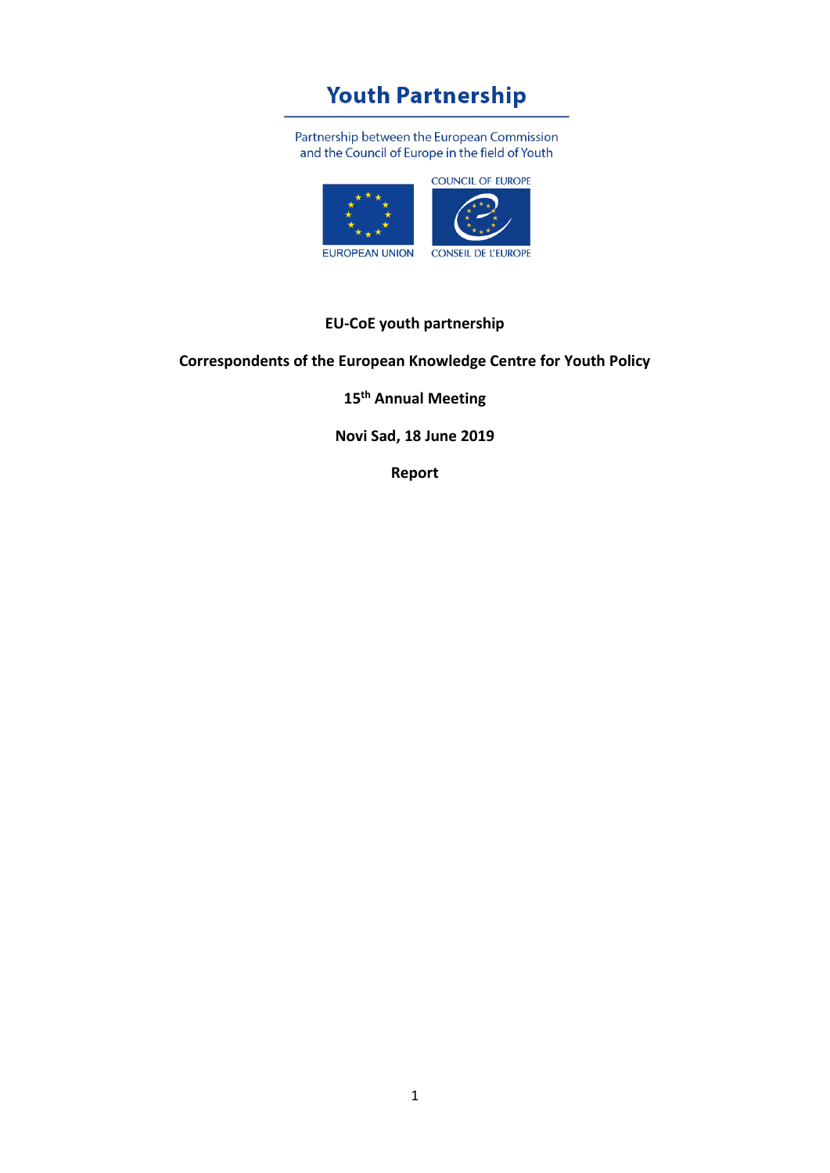# **Youth Partnership**

Partnership between the European Commission and the Council of Europe in the field of Youth



## **EU-CoE youth partnership**

### **Correspondents of the European Knowledge Centre for Youth Policy**

**15th Annual Meeting**

**Novi Sad, 18 June 2019**

**Report**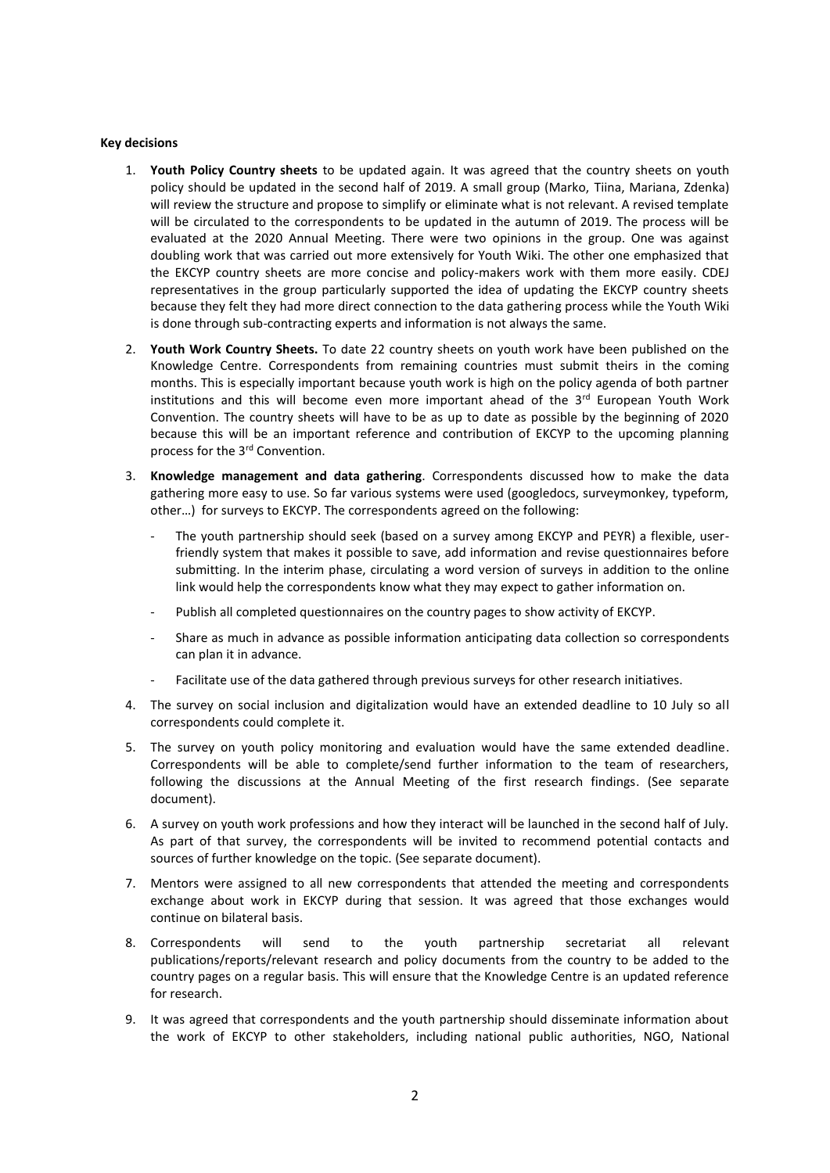#### **Key decisions**

- 1. **Youth Policy Country sheets** to be updated again. It was agreed that the country sheets on youth policy should be updated in the second half of 2019. A small group (Marko, Tiina, Mariana, Zdenka) will review the structure and propose to simplify or eliminate what is not relevant. A revised template will be circulated to the correspondents to be updated in the autumn of 2019. The process will be evaluated at the 2020 Annual Meeting. There were two opinions in the group. One was against doubling work that was carried out more extensively for Youth Wiki. The other one emphasized that the EKCYP country sheets are more concise and policy-makers work with them more easily. CDEJ representatives in the group particularly supported the idea of updating the EKCYP country sheets because they felt they had more direct connection to the data gathering process while the Youth Wiki is done through sub-contracting experts and information is not always the same.
- 2. **Youth Work Country Sheets.** To date 22 country sheets on youth work have been published on the Knowledge Centre. Correspondents from remaining countries must submit theirs in the coming months. This is especially important because youth work is high on the policy agenda of both partner institutions and this will become even more important ahead of the  $3<sup>rd</sup>$  European Youth Work Convention. The country sheets will have to be as up to date as possible by the beginning of 2020 because this will be an important reference and contribution of EKCYP to the upcoming planning process for the 3rd Convention.
- 3. **Knowledge management and data gathering**. Correspondents discussed how to make the data gathering more easy to use. So far various systems were used (googledocs, surveymonkey, typeform, other…) for surveys to EKCYP. The correspondents agreed on the following:
	- The youth partnership should seek (based on a survey among EKCYP and PEYR) a flexible, userfriendly system that makes it possible to save, add information and revise questionnaires before submitting. In the interim phase, circulating a word version of surveys in addition to the online link would help the correspondents know what they may expect to gather information on.
	- Publish all completed questionnaires on the country pages to show activity of EKCYP.
	- Share as much in advance as possible information anticipating data collection so correspondents can plan it in advance.
	- Facilitate use of the data gathered through previous surveys for other research initiatives.
- 4. The survey on social inclusion and digitalization would have an extended deadline to 10 July so all correspondents could complete it.
- 5. The survey on youth policy monitoring and evaluation would have the same extended deadline. Correspondents will be able to complete/send further information to the team of researchers, following the discussions at the Annual Meeting of the first research findings. (See separate document).
- 6. A survey on youth work professions and how they interact will be launched in the second half of July. As part of that survey, the correspondents will be invited to recommend potential contacts and sources of further knowledge on the topic. (See separate document).
- 7. Mentors were assigned to all new correspondents that attended the meeting and correspondents exchange about work in EKCYP during that session. It was agreed that those exchanges would continue on bilateral basis.
- 8. Correspondents will send to the youth partnership secretariat all relevant publications/reports/relevant research and policy documents from the country to be added to the country pages on a regular basis. This will ensure that the Knowledge Centre is an updated reference for research.
- 9. It was agreed that correspondents and the youth partnership should disseminate information about the work of EKCYP to other stakeholders, including national public authorities, NGO, National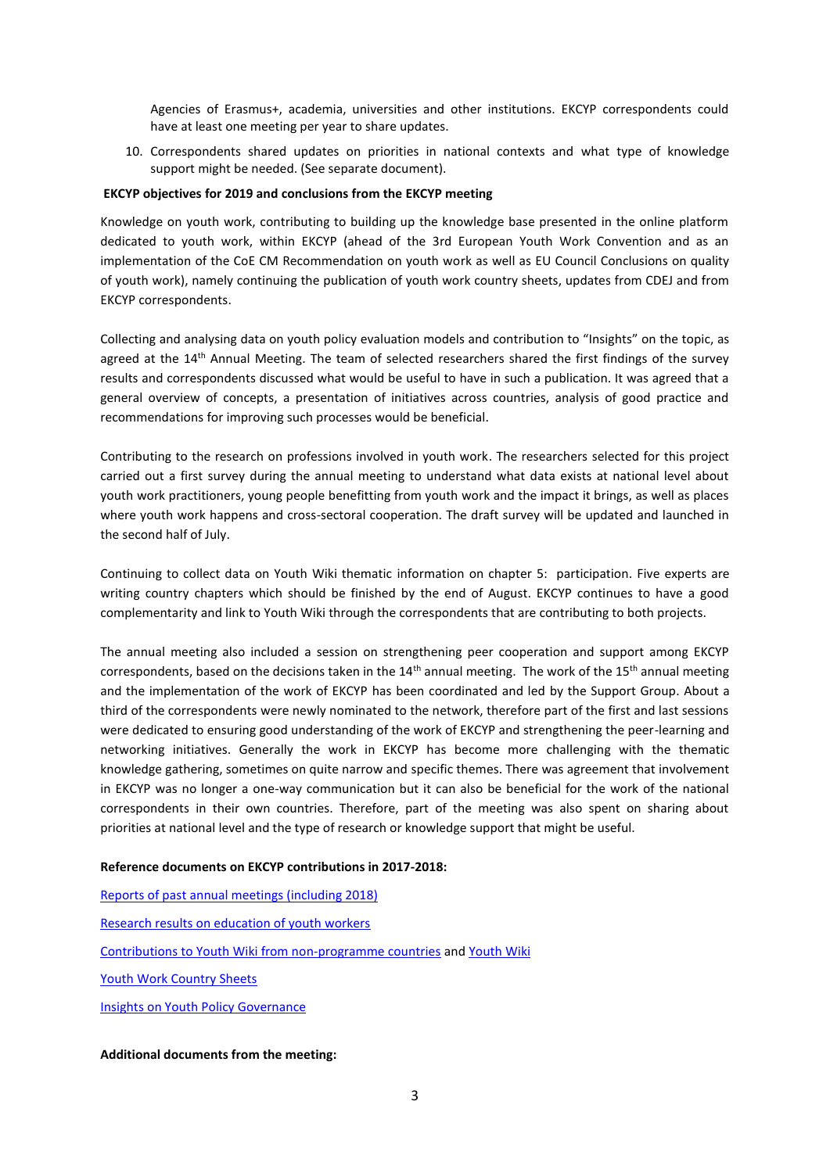Agencies of Erasmus+, academia, universities and other institutions. EKCYP correspondents could have at least one meeting per year to share updates.

10. Correspondents shared updates on priorities in national contexts and what type of knowledge support might be needed. (See separate document).

#### **EKCYP objectives for 2019 and conclusions from the EKCYP meeting**

Knowledge on youth work, contributing to building up the knowledge base presented in the online platform dedicated to youth work, within EKCYP (ahead of the 3rd European Youth Work Convention and as an implementation of the CoE CM Recommendation on youth work as well as EU Council Conclusions on quality of youth work), namely continuing the publication of youth work country sheets, updates from CDEJ and from EKCYP correspondents.

Collecting and analysing data on youth policy evaluation models and contribution to "Insights" on the topic, as agreed at the 14<sup>th</sup> Annual Meeting. The team of selected researchers shared the first findings of the survey results and correspondents discussed what would be useful to have in such a publication. It was agreed that a general overview of concepts, a presentation of initiatives across countries, analysis of good practice and recommendations for improving such processes would be beneficial.

Contributing to the research on professions involved in youth work. The researchers selected for this project carried out a first survey during the annual meeting to understand what data exists at national level about youth work practitioners, young people benefitting from youth work and the impact it brings, as well as places where youth work happens and cross-sectoral cooperation. The draft survey will be updated and launched in the second half of July.

Continuing to collect data on Youth Wiki thematic information on chapter 5: participation. Five experts are writing country chapters which should be finished by the end of August. EKCYP continues to have a good complementarity and link to Youth Wiki through the correspondents that are contributing to both projects.

The annual meeting also included a session on strengthening peer cooperation and support among EKCYP correspondents, based on the decisions taken in the  $14<sup>th</sup>$  annual meeting. The work of the  $15<sup>th</sup>$  annual meeting and the implementation of the work of EKCYP has been coordinated and led by the Support Group. About a third of the correspondents were newly nominated to the network, therefore part of the first and last sessions were dedicated to ensuring good understanding of the work of EKCYP and strengthening the peer-learning and networking initiatives. Generally the work in EKCYP has become more challenging with the thematic knowledge gathering, sometimes on quite narrow and specific themes. There was agreement that involvement in EKCYP was no longer a one-way communication but it can also be beneficial for the work of the national correspondents in their own countries. Therefore, part of the meeting was also spent on sharing about priorities at national level and the type of research or knowledge support that might be useful.

#### **Reference documents on EKCYP contributions in 2017-2018:**

[Reports of past annual meetings \(including 2018\)](https://pjp-eu.coe.int/en/web/youth-partnership/ekcyp-correspondents?inheritRedirect=true) [Research results on education of youth workers](https://pjp-eu.coe.int/en/web/youth-partnership/related-publication) [Contributions to Youth Wiki from non-programme countries](https://pjp-eu.coe.int/en/web/youth-partnership/contribution-eu-youth-wiki) an[d Youth Wiki](https://eacea.ec.europa.eu/national-policies/en/youthwiki) [Youth Work Country Sheets](https://pjp-eu.coe.int/en/web/youth-partnership/country-information-youth-work) [Insights on Youth Policy Governance](https://pjp-eu.coe.int/documents/1017981/7110668/122018-Insights_web.pdf/99400a12-31e8-76e2-f062-95abec820808)

#### **Additional documents from the meeting:**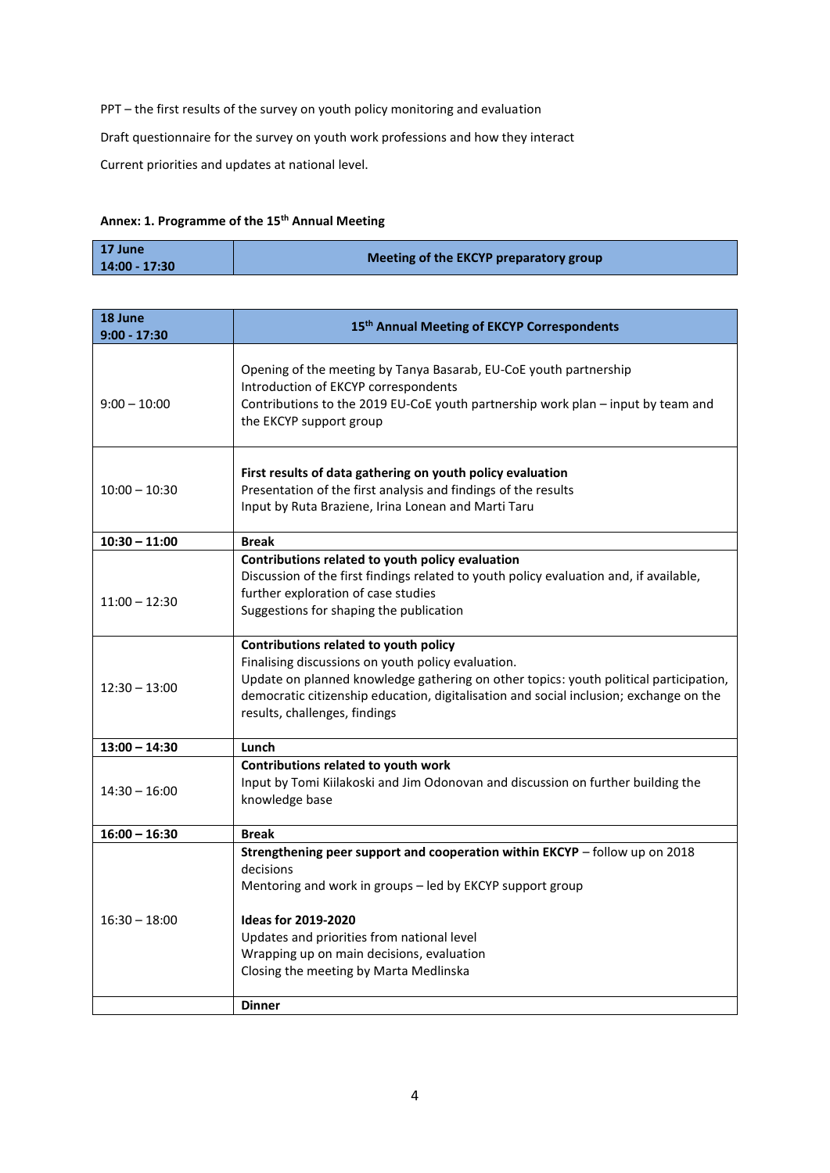PPT – the first results of the survey on youth policy monitoring and evaluation Draft questionnaire for the survey on youth work professions and how they interact Current priorities and updates at national level.

### **Annex: 1. Programme of the 15th Annual Meeting**

| Meeting of the EKCYP preparatory group | 17 June<br>  14:00 - 17:30 |  |
|----------------------------------------|----------------------------|--|
|----------------------------------------|----------------------------|--|

| 18 June<br>$9:00 - 17:30$ | 15 <sup>th</sup> Annual Meeting of EKCYP Correspondents                                                                                                                                                                                                                                                         |
|---------------------------|-----------------------------------------------------------------------------------------------------------------------------------------------------------------------------------------------------------------------------------------------------------------------------------------------------------------|
| $9:00 - 10:00$            | Opening of the meeting by Tanya Basarab, EU-CoE youth partnership<br>Introduction of EKCYP correspondents<br>Contributions to the 2019 EU-CoE youth partnership work plan - input by team and<br>the EKCYP support group                                                                                        |
| $10:00 - 10:30$           | First results of data gathering on youth policy evaluation<br>Presentation of the first analysis and findings of the results<br>Input by Ruta Braziene, Irina Lonean and Marti Taru                                                                                                                             |
| $10:30 - 11:00$           | <b>Break</b>                                                                                                                                                                                                                                                                                                    |
| $11:00 - 12:30$           | Contributions related to youth policy evaluation<br>Discussion of the first findings related to youth policy evaluation and, if available,<br>further exploration of case studies<br>Suggestions for shaping the publication                                                                                    |
| $12:30 - 13:00$           | Contributions related to youth policy<br>Finalising discussions on youth policy evaluation.<br>Update on planned knowledge gathering on other topics: youth political participation,<br>democratic citizenship education, digitalisation and social inclusion; exchange on the<br>results, challenges, findings |
| $13:00 - 14:30$           | Lunch                                                                                                                                                                                                                                                                                                           |
| $14:30 - 16:00$           | Contributions related to youth work<br>Input by Tomi Kiilakoski and Jim Odonovan and discussion on further building the<br>knowledge base                                                                                                                                                                       |
| $16:00 - 16:30$           | <b>Break</b>                                                                                                                                                                                                                                                                                                    |
| $16:30 - 18:00$           | Strengthening peer support and cooperation within EKCYP - follow up on 2018<br>decisions<br>Mentoring and work in groups - led by EKCYP support group<br><b>Ideas for 2019-2020</b><br>Updates and priorities from national level                                                                               |
|                           | Wrapping up on main decisions, evaluation<br>Closing the meeting by Marta Medlinska                                                                                                                                                                                                                             |
|                           | <b>Dinner</b>                                                                                                                                                                                                                                                                                                   |